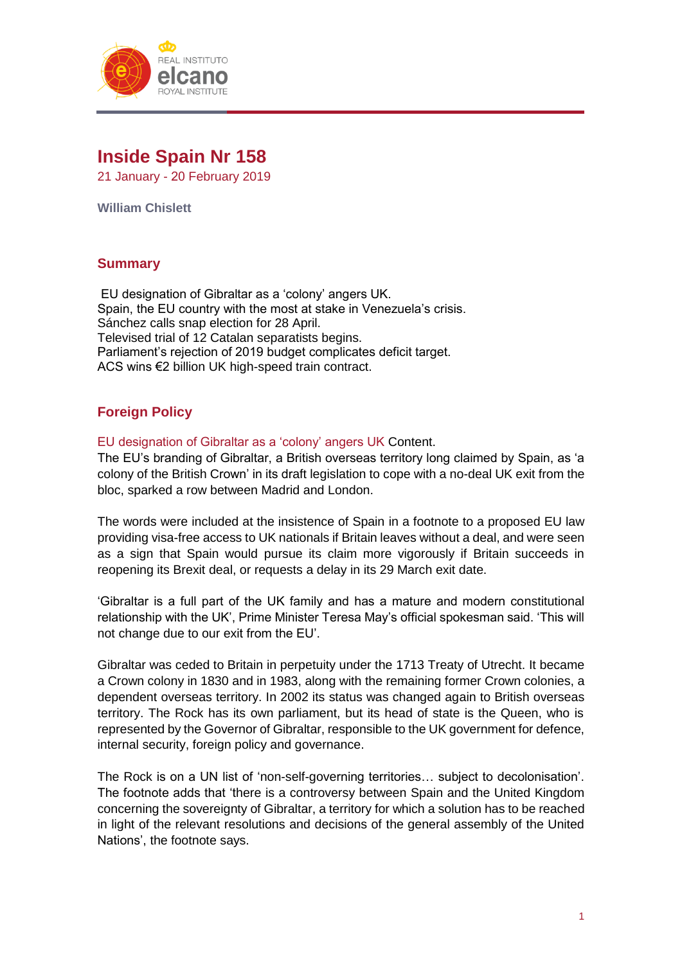

# **Inside Spain Nr 158**

21 January - 20 February 2019

**William Chislett** 

# **Summary**

EU designation of Gibraltar as a 'colony' angers UK. Spain, the EU country with the most at stake in Venezuela's crisis. Sánchez calls snap election for 28 April. Televised trial of 12 Catalan separatists begins. Parliament's rejection of 2019 budget complicates deficit target. ACS wins €2 billion UK high-speed train contract.

# **Foreign Policy**

# EU designation of Gibraltar as a 'colony' angers UK Content.

The EU's branding of Gibraltar, a British overseas territory long claimed by Spain, as 'a colony of the British Crown' in its draft legislation to cope with a no-deal UK exit from the bloc, sparked a row between Madrid and London.

The words were included at the insistence of Spain in a footnote to a proposed EU law providing visa-free access to UK nationals if Britain leaves without a deal, and were seen as a sign that Spain would pursue its claim more vigorously if Britain succeeds in reopening its Brexit deal, or requests a delay in its 29 March exit date.

'Gibraltar is a full part of the UK family and has a mature and modern constitutional relationship with the UK', Prime Minister Teresa May's official spokesman said. 'This will not change due to our exit from the EU'.

Gibraltar was ceded to Britain in perpetuity under the 1713 Treaty of Utrecht. It became a Crown colony in 1830 and in 1983, along with the remaining former Crown colonies, a dependent overseas territory. In 2002 its status was changed again to British overseas territory. The Rock has its own parliament, but its head of state is the Queen, who is represented by the Governor of Gibraltar, responsible to the UK government for defence, internal security, foreign policy and governance.

The Rock is on a UN list of 'non-self-governing territories… subject to decolonisation'. The footnote adds that 'there is a controversy between Spain and the United Kingdom concerning the sovereignty of Gibraltar, a territory for which a solution has to be reached in light of the relevant resolutions and decisions of the general assembly of the United Nations', the footnote says.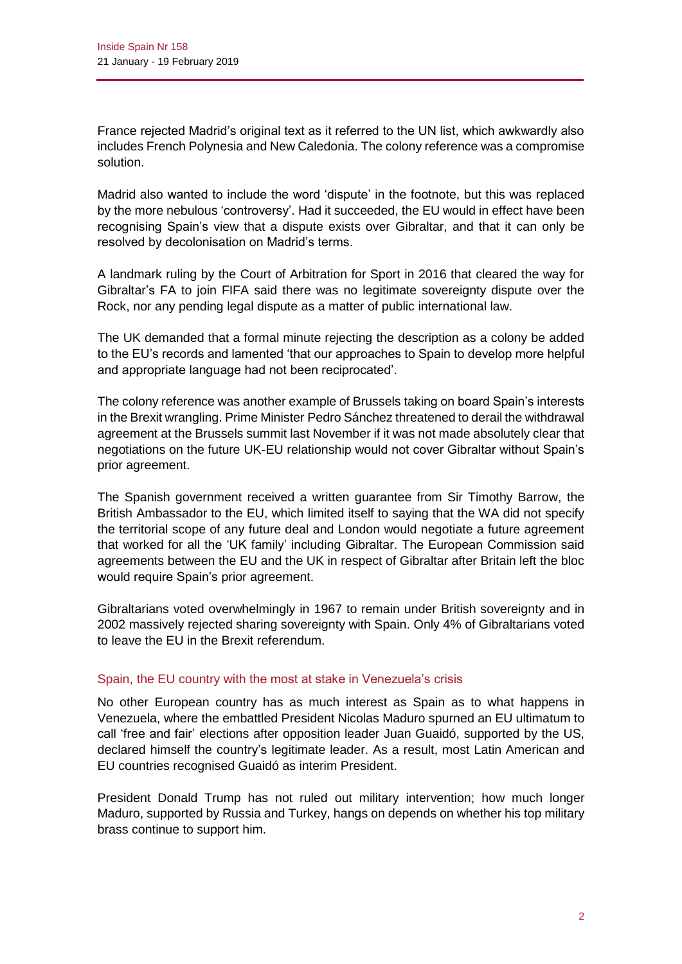France rejected Madrid's original text as it referred to the UN list, which awkwardly also includes French Polynesia and New Caledonia. The colony reference was a compromise solution.

Madrid also wanted to include the word 'dispute' in the footnote, but this was replaced by the more nebulous 'controversy'. Had it succeeded, the EU would in effect have been recognising Spain's view that a dispute exists over Gibraltar, and that it can only be resolved by decolonisation on Madrid's terms.

A landmark ruling by the Court of Arbitration for Sport in 2016 that cleared the way for Gibraltar's FA to join FIFA said there was no legitimate sovereignty dispute over the Rock, nor any pending legal dispute as a matter of public international law.

The UK demanded that a formal minute rejecting the description as a colony be added to the EU's records and lamented 'that our approaches to Spain to develop more helpful and appropriate language had not been reciprocated'.

The colony reference was another example of Brussels taking on board Spain's interests in the Brexit wrangling. Prime Minister Pedro Sánchez threatened to derail the withdrawal agreement at the Brussels summit last November if it was not made absolutely clear that negotiations on the future UK-EU relationship would not cover Gibraltar without Spain's prior agreement.

The Spanish government received a written guarantee from Sir Timothy Barrow, the British Ambassador to the EU, which limited itself to saying that the WA did not specify the territorial scope of any future deal and London would negotiate a future agreement that worked for all the 'UK family' including Gibraltar. The European Commission said agreements between the EU and the UK in respect of Gibraltar after Britain left the bloc would require Spain's prior agreement.

Gibraltarians voted overwhelmingly in 1967 to remain under British sovereignty and in 2002 massively rejected sharing sovereignty with Spain. Only 4% of Gibraltarians voted to leave the EU in the Brexit referendum.

# Spain, the EU country with the most at stake in Venezuela's crisis

No other European country has as much interest as Spain as to what happens in Venezuela, where the embattled President Nicolas Maduro spurned an EU ultimatum to call 'free and fair' elections after opposition leader Juan Guaidó, supported by the US, declared himself the country's legitimate leader. As a result, most Latin American and EU countries recognised Guaidó as interim President.

President Donald Trump has not ruled out military intervention; how much longer Maduro, supported by Russia and Turkey, hangs on depends on whether his top military brass continue to support him.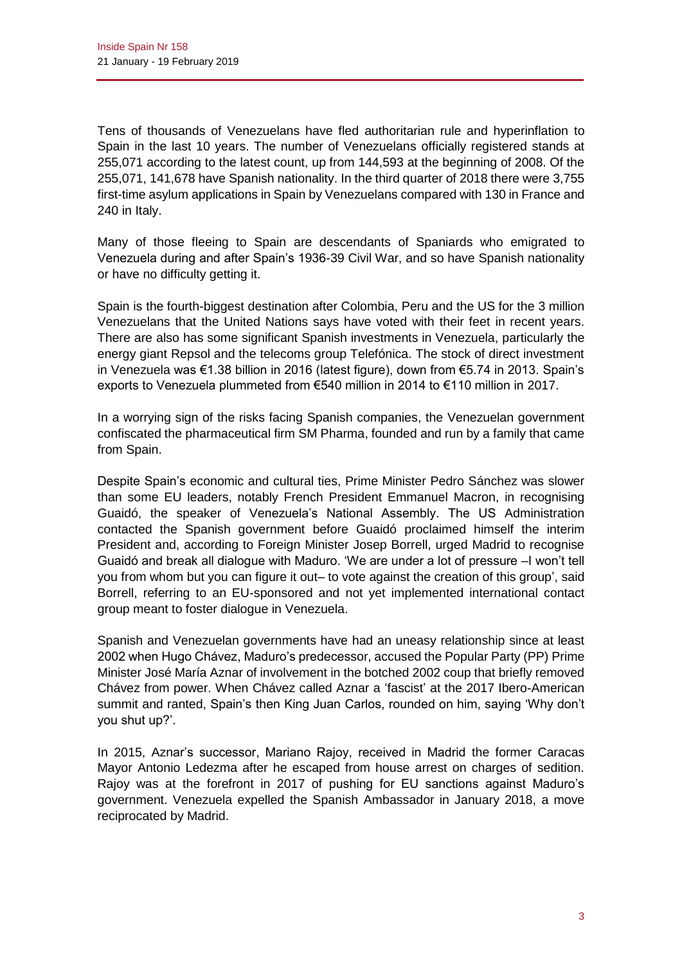Tens of thousands of Venezuelans have fled authoritarian rule and hyperinflation to Spain in the last 10 years. The number of Venezuelans officially registered stands at 255,071 according to the latest count, up from 144,593 at the beginning of 2008. Of the 255,071, 141,678 have Spanish nationality. In the third quarter of 2018 there were 3,755 first-time asylum applications in Spain by Venezuelans compared with 130 in France and 240 in Italy.

Many of those fleeing to Spain are descendants of Spaniards who emigrated to Venezuela during and after Spain's 1936-39 Civil War, and so have Spanish nationality or have no difficulty getting it.

Spain is the fourth-biggest destination after Colombia, Peru and the US for the 3 million Venezuelans that the United Nations says have voted with their feet in recent years. There are also has some significant Spanish investments in Venezuela, particularly the energy giant Repsol and the telecoms group Telefónica. The stock of direct investment in Venezuela was €1.38 billion in 2016 (latest figure), down from €5.74 in 2013. Spain's exports to Venezuela plummeted from €540 million in 2014 to €110 million in 2017.

In a worrying sign of the risks facing Spanish companies, the Venezuelan government confiscated the pharmaceutical firm SM Pharma, founded and run by a family that came from Spain.

Despite Spain's economic and cultural ties, Prime Minister Pedro Sánchez was slower than some EU leaders, notably French President Emmanuel Macron, in recognising Guaidó, the speaker of Venezuela's National Assembly. The US Administration contacted the Spanish government before Guaidó proclaimed himself the interim President and, according to Foreign Minister Josep Borrell, urged Madrid to recognise Guaidó and break all dialogue with Maduro. 'We are under a lot of pressure –I won't tell you from whom but you can figure it out– to vote against the creation of this group', said Borrell, referring to an EU-sponsored and not yet implemented international contact group meant to foster dialogue in Venezuela.

Spanish and Venezuelan governments have had an uneasy relationship since at least 2002 when Hugo Chávez, Maduro's predecessor, accused the Popular Party (PP) Prime Minister José María Aznar of involvement in the botched 2002 coup that briefly removed Chávez from power. When Chávez called Aznar a 'fascist' at the 2017 Ibero-American summit and ranted, Spain's then King Juan Carlos, rounded on him, saying 'Why don't you shut up?'.

In 2015, Aznar's successor, Mariano Rajoy, received in Madrid the former Caracas Mayor Antonio Ledezma after he escaped from house arrest on charges of sedition. Rajoy was at the forefront in 2017 of pushing for EU sanctions against Maduro's government. Venezuela expelled the Spanish Ambassador in January 2018, a move reciprocated by Madrid.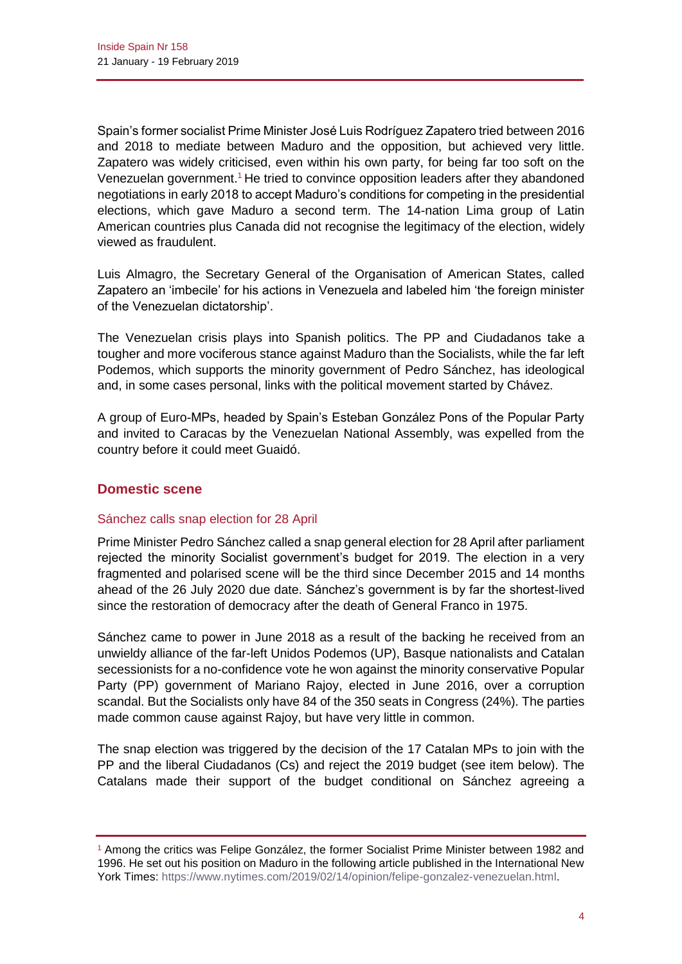Spain's former socialist Prime Minister José Luis Rodríguez Zapatero tried between 2016 and 2018 to mediate between Maduro and the opposition, but achieved very little. Zapatero was widely criticised, even within his own party, for being far too soft on the Venezuelan government.<sup>1</sup> He tried to convince opposition leaders after they abandoned negotiations in early 2018 to accept Maduro's conditions for competing in the presidential elections, which gave Maduro a second term. The 14-nation Lima group of Latin American countries plus Canada did not recognise the legitimacy of the election, widely viewed as fraudulent.

Luis Almagro, the Secretary General of the Organisation of American States, called Zapatero an 'imbecile' for his actions in Venezuela and labeled him 'the foreign minister of the Venezuelan dictatorship'.

The Venezuelan crisis plays into Spanish politics. The PP and Ciudadanos take a tougher and more vociferous stance against Maduro than the Socialists, while the far left Podemos, which supports the minority government of Pedro Sánchez, has ideological and, in some cases personal, links with the political movement started by Chávez.

A group of Euro-MPs, headed by Spain's Esteban González Pons of the Popular Party and invited to Caracas by the Venezuelan National Assembly, was expelled from the country before it could meet Guaidó.

# **Domestic scene**

# Sánchez calls snap election for 28 April

Prime Minister Pedro Sánchez called a snap general election for 28 April after parliament rejected the minority Socialist government's budget for 2019. The election in a very fragmented and polarised scene will be the third since December 2015 and 14 months ahead of the 26 July 2020 due date. Sánchez's government is by far the shortest-lived since the restoration of democracy after the death of General Franco in 1975.

Sánchez came to power in June 2018 as a result of the backing he received from an unwieldy alliance of the far-left Unidos Podemos (UP), Basque nationalists and Catalan secessionists for a no-confidence vote he won against the minority conservative Popular Party (PP) government of Mariano Rajoy, elected in June 2016, over a corruption scandal. But the Socialists only have 84 of the 350 seats in Congress (24%). The parties made common cause against Rajoy, but have very little in common.

The snap election was triggered by the decision of the 17 Catalan MPs to join with the PP and the liberal Ciudadanos (Cs) and reject the 2019 budget (see item below). The Catalans made their support of the budget conditional on Sánchez agreeing a

<sup>1</sup> Among the critics was Felipe González, the former Socialist Prime Minister between 1982 and 1996. He set out his position on Maduro in the following article published in the International New York Times: [https://www.nytimes.com/2019/02/14/opinion/felipe-gonzalez-venezuelan.html.](https://www.nytimes.com/2019/02/14/opinion/felipe-gonzalez-venezuelan.html)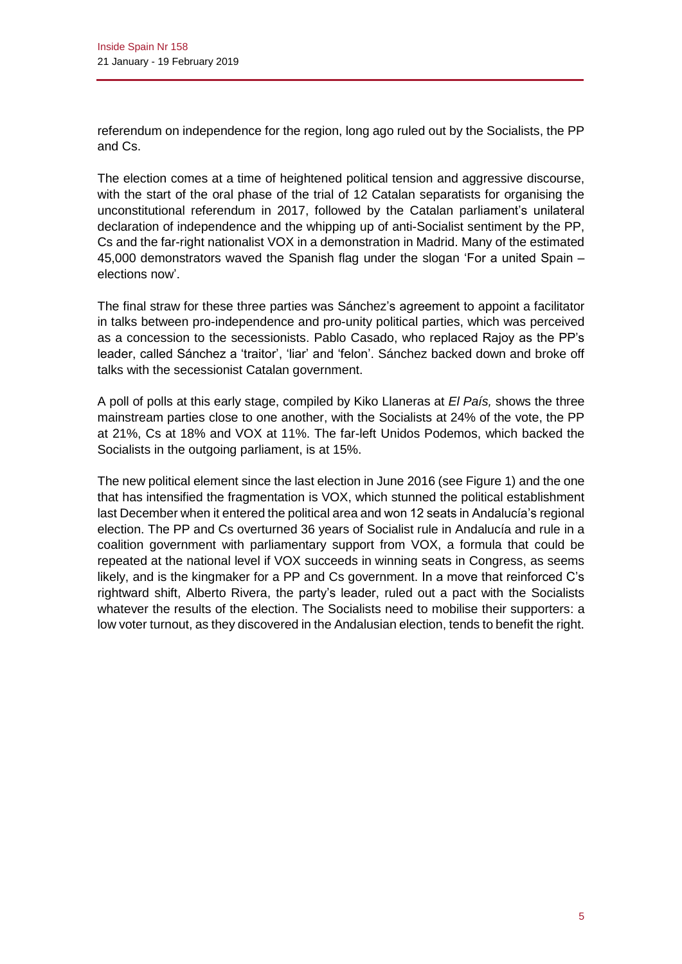referendum on independence for the region, long ago ruled out by the Socialists, the PP and Cs.

The election comes at a time of heightened political tension and aggressive discourse, with the start of the oral phase of the trial of 12 Catalan separatists for organising the unconstitutional referendum in 2017, followed by the Catalan parliament's unilateral declaration of independence and the whipping up of anti-Socialist sentiment by the PP, Cs and the far-right nationalist VOX in a demonstration in Madrid. Many of the estimated 45,000 demonstrators waved the Spanish flag under the slogan 'For a united Spain – elections now'.

The final straw for these three parties was Sánchez's agreement to appoint a facilitator in talks between pro-independence and pro-unity political parties, which was perceived as a concession to the secessionists. Pablo Casado, who replaced Rajoy as the PP's leader, called Sánchez a 'traitor', 'liar' and 'felon'. Sánchez backed down and broke off talks with the secessionist Catalan government.

A poll of polls at this early stage, compiled by Kiko Llaneras at *El País,* shows the three mainstream parties close to one another, with the Socialists at 24% of the vote, the PP at 21%, Cs at 18% and VOX at 11%. The far-left Unidos Podemos, which backed the Socialists in the outgoing parliament, is at 15%.

The new political element since the last election in June 2016 (see Figure 1) and the one that has intensified the fragmentation is VOX, which stunned the political establishment last December when it entered the political area and won 12 seats in Andalucía's regional election. The PP and Cs overturned 36 years of Socialist rule in Andalucía and rule in a coalition government with parliamentary support from VOX, a formula that could be repeated at the national level if VOX succeeds in winning seats in Congress, as seems likely, and is the kingmaker for a PP and Cs government. In a move that reinforced C's rightward shift, Alberto Rivera, the party's leader, ruled out a pact with the Socialists whatever the results of the election. The Socialists need to mobilise their supporters: a low voter turnout, as they discovered in the Andalusian election, tends to benefit the right.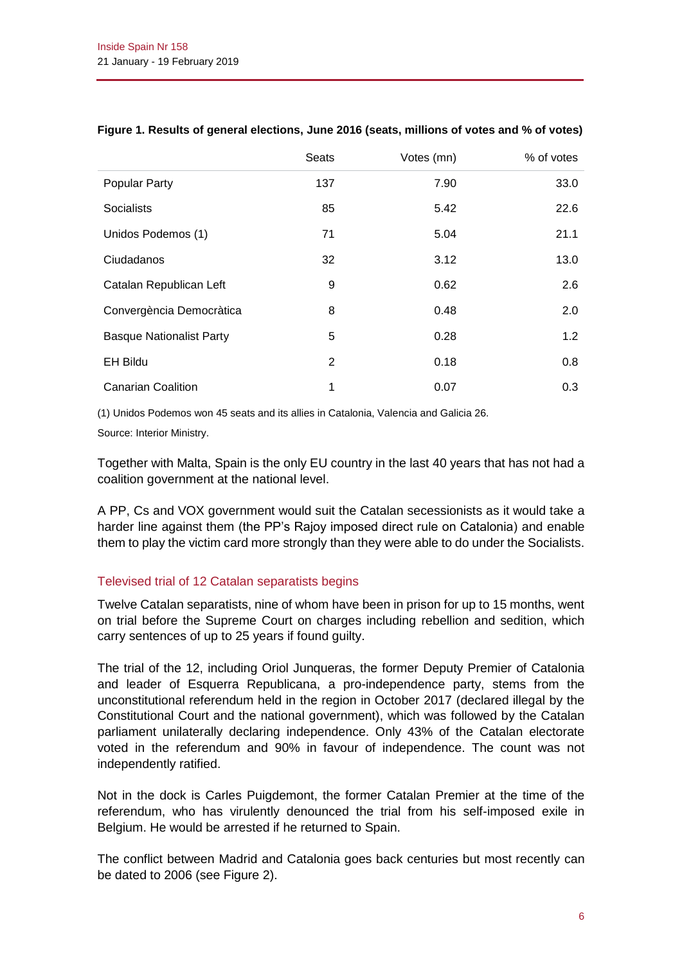|                                 | <b>Seats</b> | Votes (mn) | % of votes |
|---------------------------------|--------------|------------|------------|
| Popular Party                   | 137          | 7.90       | 33.0       |
| <b>Socialists</b>               | 85           | 5.42       | 22.6       |
| Unidos Podemos (1)              | 71           | 5.04       | 21.1       |
| Ciudadanos                      | 32           | 3.12       | 13.0       |
| Catalan Republican Left         | 9            | 0.62       | 2.6        |
| Convergència Democràtica        | 8            | 0.48       | 2.0        |
| <b>Basque Nationalist Party</b> | 5            | 0.28       | 1.2        |
| <b>EH Bildu</b>                 | 2            | 0.18       | 0.8        |
| <b>Canarian Coalition</b>       | 1            | 0.07       | 0.3        |

# **Figure 1. Results of general elections, June 2016 (seats, millions of votes and % of votes)**

(1) Unidos Podemos won 45 seats and its allies in Catalonia, Valencia and Galicia 26.

Source: Interior Ministry.

Together with Malta, Spain is the only EU country in the last 40 years that has not had a coalition government at the national level.

A PP, Cs and VOX government would suit the Catalan secessionists as it would take a harder line against them (the PP's Rajoy imposed direct rule on Catalonia) and enable them to play the victim card more strongly than they were able to do under the Socialists.

# Televised trial of 12 Catalan separatists begins

Twelve Catalan separatists, nine of whom have been in prison for up to 15 months, went on trial before the Supreme Court on charges including rebellion and sedition, which carry sentences of up to 25 years if found guilty.

The trial of the 12, including Oriol Junqueras, the former Deputy Premier of Catalonia and leader of Esquerra Republicana, a pro-independence party, stems from the unconstitutional referendum held in the region in October 2017 (declared illegal by the Constitutional Court and the national government), which was followed by the Catalan parliament unilaterally declaring independence. Only 43% of the Catalan electorate voted in the referendum and 90% in favour of independence. The count was not independently ratified.

Not in the dock is Carles Puigdemont, the former Catalan Premier at the time of the referendum, who has virulently denounced the trial from his self-imposed exile in Belgium. He would be arrested if he returned to Spain.

The conflict between Madrid and Catalonia goes back centuries but most recently can be dated to 2006 (see Figure 2).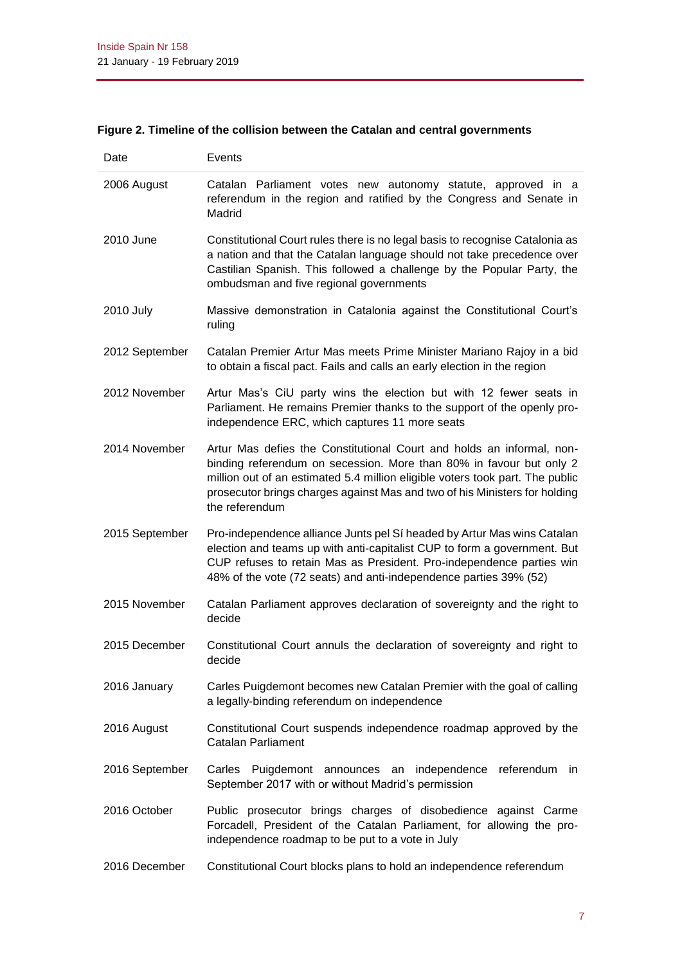| Date           | Events                                                                                                                                                                                                                                                                                                                        |
|----------------|-------------------------------------------------------------------------------------------------------------------------------------------------------------------------------------------------------------------------------------------------------------------------------------------------------------------------------|
| 2006 August    | Catalan Parliament votes new autonomy statute, approved in a<br>referendum in the region and ratified by the Congress and Senate in<br>Madrid                                                                                                                                                                                 |
| 2010 June      | Constitutional Court rules there is no legal basis to recognise Catalonia as<br>a nation and that the Catalan language should not take precedence over<br>Castilian Spanish. This followed a challenge by the Popular Party, the<br>ombudsman and five regional governments                                                   |
| 2010 July      | Massive demonstration in Catalonia against the Constitutional Court's<br>ruling                                                                                                                                                                                                                                               |
| 2012 September | Catalan Premier Artur Mas meets Prime Minister Mariano Rajoy in a bid<br>to obtain a fiscal pact. Fails and calls an early election in the region                                                                                                                                                                             |
| 2012 November  | Artur Mas's CiU party wins the election but with 12 fewer seats in<br>Parliament. He remains Premier thanks to the support of the openly pro-<br>independence ERC, which captures 11 more seats                                                                                                                               |
| 2014 November  | Artur Mas defies the Constitutional Court and holds an informal, non-<br>binding referendum on secession. More than 80% in favour but only 2<br>million out of an estimated 5.4 million eligible voters took part. The public<br>prosecutor brings charges against Mas and two of his Ministers for holding<br>the referendum |
| 2015 September | Pro-independence alliance Junts pel Sí headed by Artur Mas wins Catalan<br>election and teams up with anti-capitalist CUP to form a government. But<br>CUP refuses to retain Mas as President. Pro-independence parties win<br>48% of the vote (72 seats) and anti-independence parties 39% (52)                              |
| 2015 November  | Catalan Parliament approves declaration of sovereignty and the right to<br>decide                                                                                                                                                                                                                                             |
| 2015 December  | Constitutional Court annuls the declaration of sovereignty and right to<br>decide                                                                                                                                                                                                                                             |
| 2016 January   | Carles Puigdemont becomes new Catalan Premier with the goal of calling<br>a legally-binding referendum on independence                                                                                                                                                                                                        |
| 2016 August    | Constitutional Court suspends independence roadmap approved by the<br><b>Catalan Parliament</b>                                                                                                                                                                                                                               |
| 2016 September | referendum in<br>Carles Puigdemont announces an independence<br>September 2017 with or without Madrid's permission                                                                                                                                                                                                            |
| 2016 October   | Public prosecutor brings charges of disobedience against Carme<br>Forcadell, President of the Catalan Parliament, for allowing the pro-<br>independence roadmap to be put to a vote in July                                                                                                                                   |
| 2016 December  | Constitutional Court blocks plans to hold an independence referendum                                                                                                                                                                                                                                                          |

# **Figure 2. Timeline of the collision between the Catalan and central governments**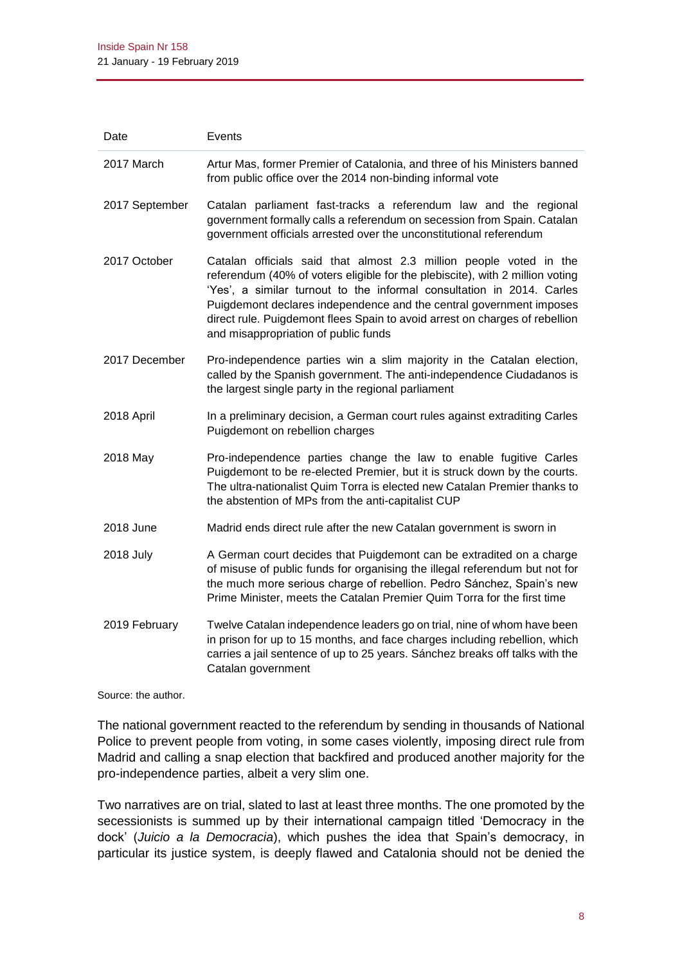| Date           | Events                                                                                                                                                                                                                                                                                                                                                                                                                     |
|----------------|----------------------------------------------------------------------------------------------------------------------------------------------------------------------------------------------------------------------------------------------------------------------------------------------------------------------------------------------------------------------------------------------------------------------------|
| 2017 March     | Artur Mas, former Premier of Catalonia, and three of his Ministers banned<br>from public office over the 2014 non-binding informal vote                                                                                                                                                                                                                                                                                    |
| 2017 September | Catalan parliament fast-tracks a referendum law and the regional<br>government formally calls a referendum on secession from Spain. Catalan<br>government officials arrested over the unconstitutional referendum                                                                                                                                                                                                          |
| 2017 October   | Catalan officials said that almost 2.3 million people voted in the<br>referendum (40% of voters eligible for the plebiscite), with 2 million voting<br>'Yes', a similar turnout to the informal consultation in 2014. Carles<br>Puigdemont declares independence and the central government imposes<br>direct rule. Puigdemont flees Spain to avoid arrest on charges of rebellion<br>and misappropriation of public funds |
| 2017 December  | Pro-independence parties win a slim majority in the Catalan election,<br>called by the Spanish government. The anti-independence Ciudadanos is<br>the largest single party in the regional parliament                                                                                                                                                                                                                      |
| 2018 April     | In a preliminary decision, a German court rules against extraditing Carles<br>Puigdemont on rebellion charges                                                                                                                                                                                                                                                                                                              |
| 2018 May       | Pro-independence parties change the law to enable fugitive Carles<br>Puigdemont to be re-elected Premier, but it is struck down by the courts.<br>The ultra-nationalist Quim Torra is elected new Catalan Premier thanks to<br>the abstention of MPs from the anti-capitalist CUP                                                                                                                                          |
| 2018 June      | Madrid ends direct rule after the new Catalan government is sworn in                                                                                                                                                                                                                                                                                                                                                       |
| 2018 July      | A German court decides that Puigdemont can be extradited on a charge<br>of misuse of public funds for organising the illegal referendum but not for<br>the much more serious charge of rebellion. Pedro Sánchez, Spain's new<br>Prime Minister, meets the Catalan Premier Quim Torra for the first time                                                                                                                    |
| 2019 February  | Twelve Catalan independence leaders go on trial, nine of whom have been<br>in prison for up to 15 months, and face charges including rebellion, which<br>carries a jail sentence of up to 25 years. Sánchez breaks off talks with the<br>Catalan government                                                                                                                                                                |

Source: the author.

The national government reacted to the referendum by sending in thousands of National Police to prevent people from voting, in some cases violently, imposing direct rule from Madrid and calling a snap election that backfired and produced another majority for the pro-independence parties, albeit a very slim one.

Two narratives are on trial, slated to last at least three months. The one promoted by the secessionists is summed up by their international campaign titled 'Democracy in the dock' (*Juicio a la Democracia*), which pushes the idea that Spain's democracy, in particular its justice system, is deeply flawed and Catalonia should not be denied the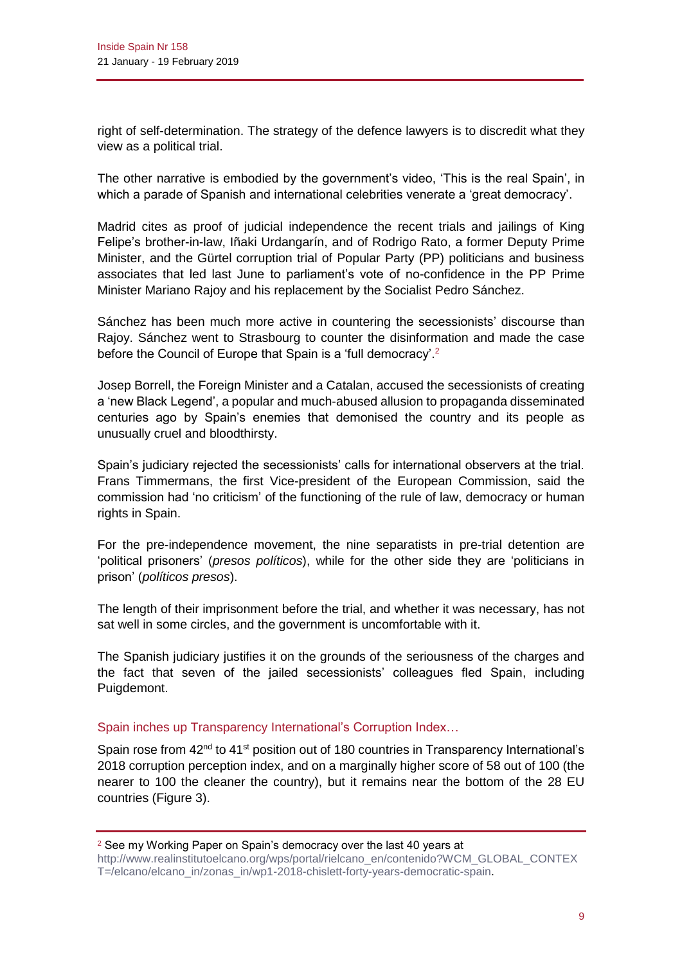right of self-determination. The strategy of the defence lawyers is to discredit what they view as a political trial.

The other narrative is embodied by the government's video, 'This is the real Spain', in which a parade of Spanish and international celebrities venerate a 'great democracy'.

Madrid cites as proof of judicial independence the recent trials and jailings of King Felipe's brother-in-law, Iñaki Urdangarín, and of Rodrigo Rato, a former Deputy Prime Minister, and the Gürtel corruption trial of Popular Party (PP) politicians and business associates that led last June to parliament's vote of no-confidence in the PP Prime Minister Mariano Rajoy and his replacement by the Socialist Pedro Sánchez.

Sánchez has been much more active in countering the secessionists' discourse than Rajoy. Sánchez went to Strasbourg to counter the disinformation and made the case before the Council of Europe that Spain is a 'full democracy'.<sup>2</sup>

Josep Borrell, the Foreign Minister and a Catalan, accused the secessionists of creating a 'new Black Legend', a popular and much-abused allusion to propaganda disseminated centuries ago by Spain's enemies that demonised the country and its people as unusually cruel and bloodthirsty.

Spain's judiciary rejected the secessionists' calls for international observers at the trial. Frans Timmermans, the first Vice-president of the European Commission, said the commission had 'no criticism' of the functioning of the rule of law, democracy or human rights in Spain.

For the pre-independence movement, the nine separatists in pre-trial detention are 'political prisoners' (*presos políticos*), while for the other side they are 'politicians in prison' (*políticos presos*).

The length of their imprisonment before the trial, and whether it was necessary, has not sat well in some circles, and the government is uncomfortable with it.

The Spanish judiciary justifies it on the grounds of the seriousness of the charges and the fact that seven of the jailed secessionists' colleagues fled Spain, including Puigdemont.

# Spain inches up Transparency International's Corruption Index…

Spain rose from 42<sup>nd</sup> to 41<sup>st</sup> position out of 180 countries in Transparency International's 2018 corruption perception index, and on a marginally higher score of 58 out of 100 (the nearer to 100 the cleaner the country), but it remains near the bottom of the 28 EU countries (Figure 3).

<sup>2</sup> See my Working Paper on Spain's democracy over the last 40 years at

[http://www.realinstitutoelcano.org/wps/portal/rielcano\\_en/contenido?WCM\\_GLOBAL\\_CONTEX](http://www.realinstitutoelcano.org/wps/portal/rielcano_en/contenido?WCM_GLOBAL_CONTEXT=/elcano/elcano_in/zonas_in/wp1-2018-chislett-forty-years-democratic-spain) [T=/elcano/elcano\\_in/zonas\\_in/wp1-2018-chislett-forty-years-democratic-spain.](http://www.realinstitutoelcano.org/wps/portal/rielcano_en/contenido?WCM_GLOBAL_CONTEXT=/elcano/elcano_in/zonas_in/wp1-2018-chislett-forty-years-democratic-spain)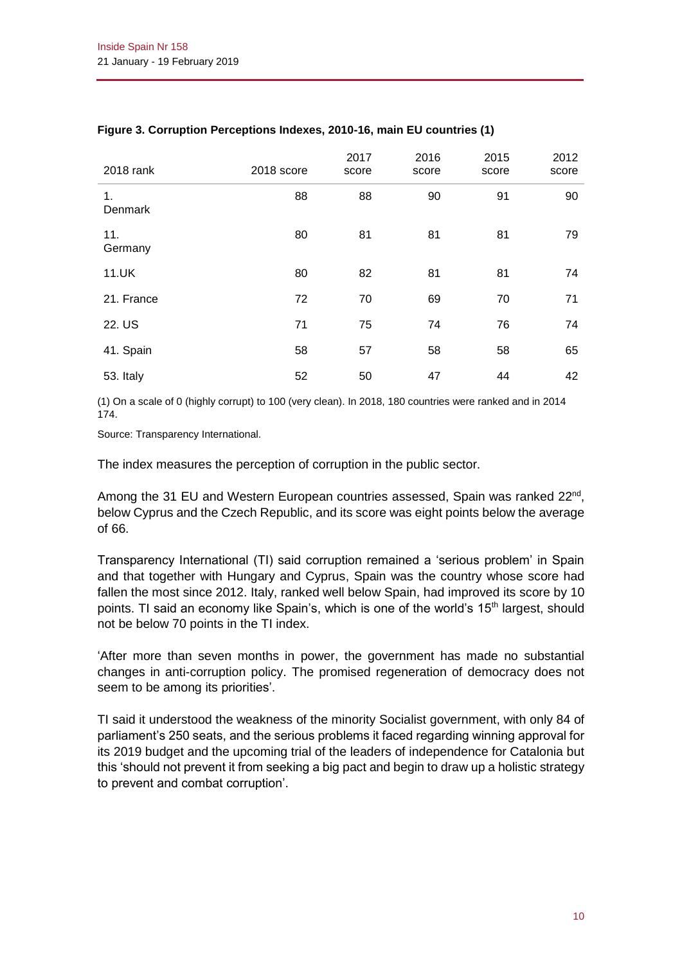| 2018 rank      | 2018 score | 2017<br>score | 2016<br>score | 2015<br>score | 2012<br>score |
|----------------|------------|---------------|---------------|---------------|---------------|
| 1.<br>Denmark  | 88         | 88            | 90            | 91            | 90            |
| 11.<br>Germany | 80         | 81            | 81            | 81            | 79            |
| <b>11.UK</b>   | 80         | 82            | 81            | 81            | 74            |
| 21. France     | 72         | 70            | 69            | 70            | 71            |
| 22. US         | 71         | 75            | 74            | 76            | 74            |
| 41. Spain      | 58         | 57            | 58            | 58            | 65            |
| 53. Italy      | 52         | 50            | 47            | 44            | 42            |

## **Figure 3. Corruption Perceptions Indexes, 2010-16, main EU countries (1)**

(1) On a scale of 0 (highly corrupt) to 100 (very clean). In 2018, 180 countries were ranked and in 2014 174.

Source: Transparency International.

The index measures the perception of corruption in the public sector.

Among the 31 EU and Western European countries assessed, Spain was ranked 22<sup>nd</sup>, below Cyprus and the Czech Republic, and its score was eight points below the average of 66.

Transparency International (TI) said corruption remained a 'serious problem' in Spain and that together with Hungary and Cyprus, Spain was the country whose score had fallen the most since 2012. Italy, ranked well below Spain, had improved its score by 10 points. TI said an economy like Spain's, which is one of the world's 15<sup>th</sup> largest, should not be below 70 points in the TI index.

'After more than seven months in power, the government has made no substantial changes in anti-corruption policy. The promised regeneration of democracy does not seem to be among its priorities'.

TI said it understood the weakness of the minority Socialist government, with only 84 of parliament's 250 seats, and the serious problems it faced regarding winning approval for its 2019 budget and the upcoming trial of the leaders of independence for Catalonia but this 'should not prevent it from seeking a big pact and begin to draw up a holistic strategy to prevent and combat corruption'.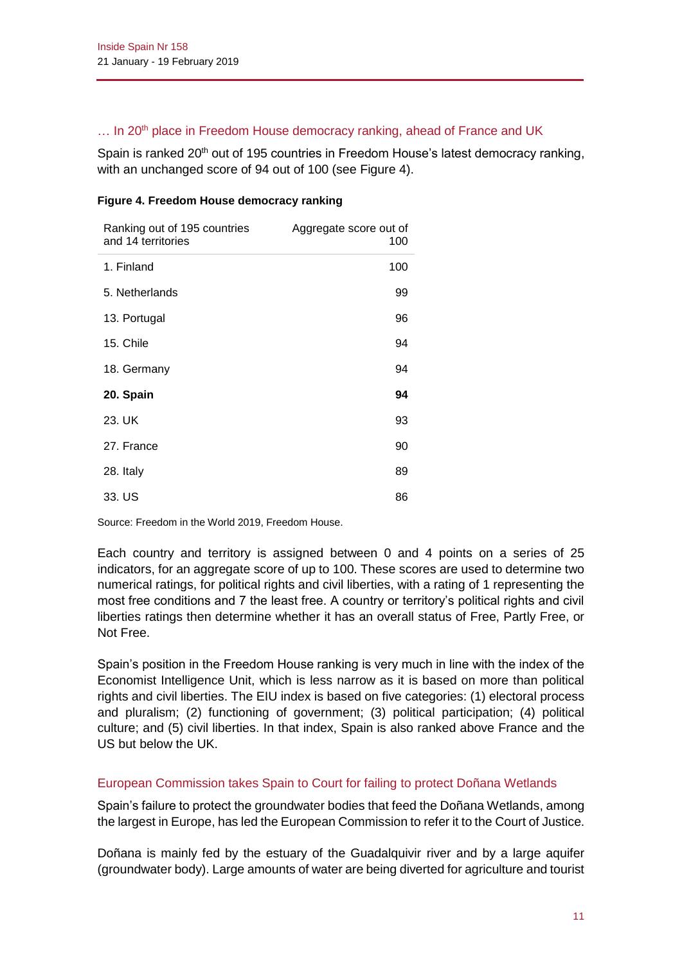# $\ldots$  In 20<sup>th</sup> place in Freedom House democracy ranking, ahead of France and UK

Spain is ranked  $20<sup>th</sup>$  out of 195 countries in Freedom House's latest democracy ranking, with an unchanged score of 94 out of 100 (see Figure 4).

# **Figure 4. Freedom House democracy ranking**

| Ranking out of 195 countries<br>and 14 territories | Aggregate score out of<br>100 |
|----------------------------------------------------|-------------------------------|
| 1. Finland                                         | 100                           |
| 5. Netherlands                                     | 99                            |
| 13. Portugal                                       | 96                            |
| 15. Chile                                          | 94                            |
| 18. Germany                                        | 94                            |
| 20. Spain                                          | 94                            |
| 23. UK                                             | 93                            |
| 27. France                                         | 90                            |
| 28. Italy                                          | 89                            |
| 33. US                                             | 86                            |

Source: Freedom in the World 2019, Freedom House.

Each country and territory is assigned between 0 and 4 points on a series of 25 indicators, for an aggregate score of up to 100. These scores are used to determine two numerical ratings, for political rights and civil liberties, with a rating of 1 representing the most free conditions and 7 the least free. A country or territory's political rights and civil liberties ratings then determine whether it has an overall status of Free, Partly Free, or Not Free.

Spain's position in the Freedom House ranking is very much in line with the index of the Economist Intelligence Unit, which is less narrow as it is based on more than political rights and civil liberties. The EIU index is based on five categories: (1) electoral process and pluralism; (2) functioning of government; (3) political participation; (4) political culture; and (5) civil liberties. In that index, Spain is also ranked above France and the US but below the UK.

# European Commission takes Spain to Court for failing to protect Doñana Wetlands

Spain's failure to protect the groundwater bodies that feed the Doñana Wetlands, among the largest in Europe, has led the European Commission to refer it to the Court of Justice.

Doñana is mainly fed by the estuary of the Guadalquivir river and by a large aquifer (groundwater body). Large amounts of water are being diverted for agriculture and tourist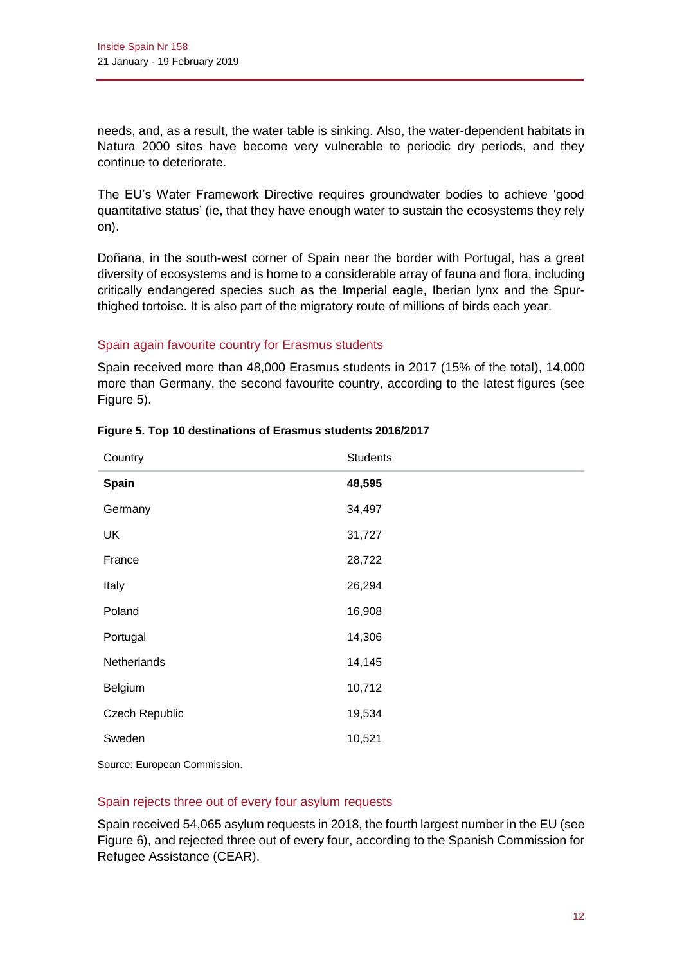needs, and, as a result, the water table is sinking. Also, the water-dependent habitats in Natura 2000 sites have become very vulnerable to periodic dry periods, and they continue to deteriorate.

The EU's Water Framework Directive requires groundwater bodies to achieve 'good quantitative status' (ie, that they have enough water to sustain the ecosystems they rely on).

Doñana, in the south-west corner of Spain near the border with Portugal, has a great diversity of ecosystems and is home to a considerable array of fauna and flora, including critically endangered species such as the Imperial eagle, Iberian lynx and the Spurthighed tortoise. It is also part of the migratory route of millions of birds each year.

# Spain again favourite country for Erasmus students

Spain received more than 48,000 Erasmus students in 2017 (15% of the total), 14,000 more than Germany, the second favourite country, according to the latest figures (see Figure 5).

| Country        | <b>Students</b> |
|----------------|-----------------|
| <b>Spain</b>   | 48,595          |
| Germany        | 34,497          |
| UK             | 31,727          |
| France         | 28,722          |
| Italy          | 26,294          |
| Poland         | 16,908          |
| Portugal       | 14,306          |
| Netherlands    | 14,145          |
| Belgium        | 10,712          |
| Czech Republic | 19,534          |
| Sweden         | 10,521          |

# **Figure 5. Top 10 destinations of Erasmus students 2016/2017**

Source: European Commission.

#### Spain rejects three out of every four asylum requests

Spain received 54,065 asylum requests in 2018, the fourth largest number in the EU (see Figure 6), and rejected three out of every four, according to the Spanish Commission for Refugee Assistance (CEAR).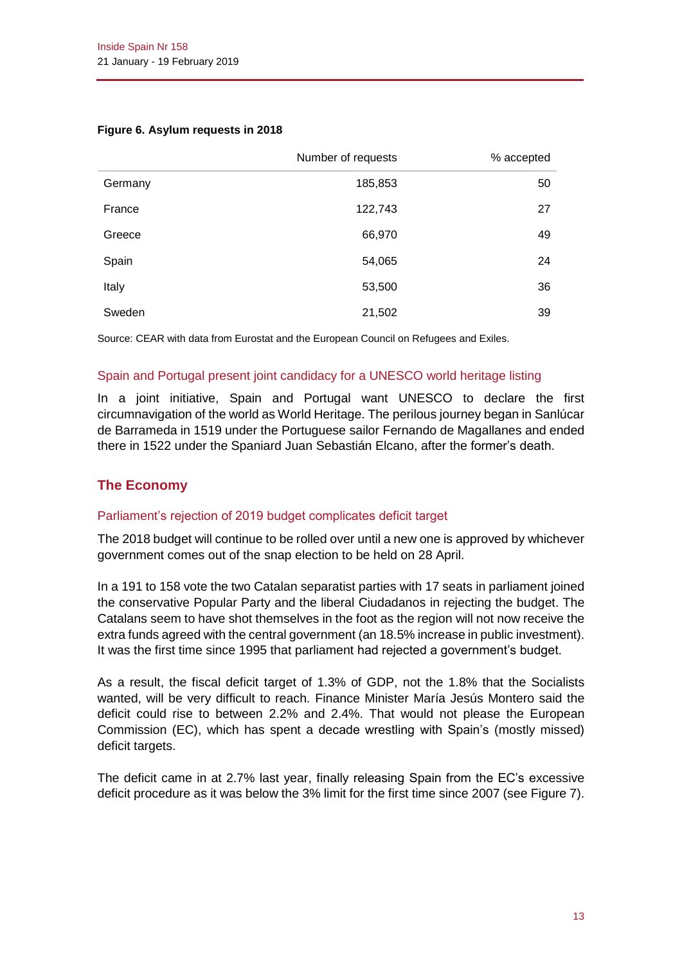|         | Number of requests | % accepted |
|---------|--------------------|------------|
| Germany | 185,853            | 50         |
| France  | 122,743            | 27         |
| Greece  | 66,970             | 49         |
| Spain   | 54,065             | 24         |
| Italy   | 53,500             | 36         |
| Sweden  | 21,502             | 39         |

#### **Figure 6. Asylum requests in 2018**

Source: CEAR with data from Eurostat and the European Council on Refugees and Exiles.

## Spain and Portugal present joint candidacy for a UNESCO world heritage listing

In a joint initiative, Spain and Portugal want UNESCO to declare the first circumnavigation of the world as World Heritage. The perilous journey began in Sanlúcar de Barrameda in 1519 under the Portuguese sailor Fernando de Magallanes and ended there in 1522 under the Spaniard Juan Sebastián Elcano, after the former's death.

# **The Economy**

#### Parliament's rejection of 2019 budget complicates deficit target

The 2018 budget will continue to be rolled over until a new one is approved by whichever government comes out of the snap election to be held on 28 April.

In a 191 to 158 vote the two Catalan separatist parties with 17 seats in parliament joined the conservative Popular Party and the liberal Ciudadanos in rejecting the budget. The Catalans seem to have shot themselves in the foot as the region will not now receive the extra funds agreed with the central government (an 18.5% increase in public investment). It was the first time since 1995 that parliament had rejected a government's budget.

As a result, the fiscal deficit target of 1.3% of GDP, not the 1.8% that the Socialists wanted, will be very difficult to reach. Finance Minister María Jesús Montero said the deficit could rise to between 2.2% and 2.4%. That would not please the European Commission (EC), which has spent a decade wrestling with Spain's (mostly missed) deficit targets.

The deficit came in at 2.7% last year, finally releasing Spain from the EC's excessive deficit procedure as it was below the 3% limit for the first time since 2007 (see Figure 7).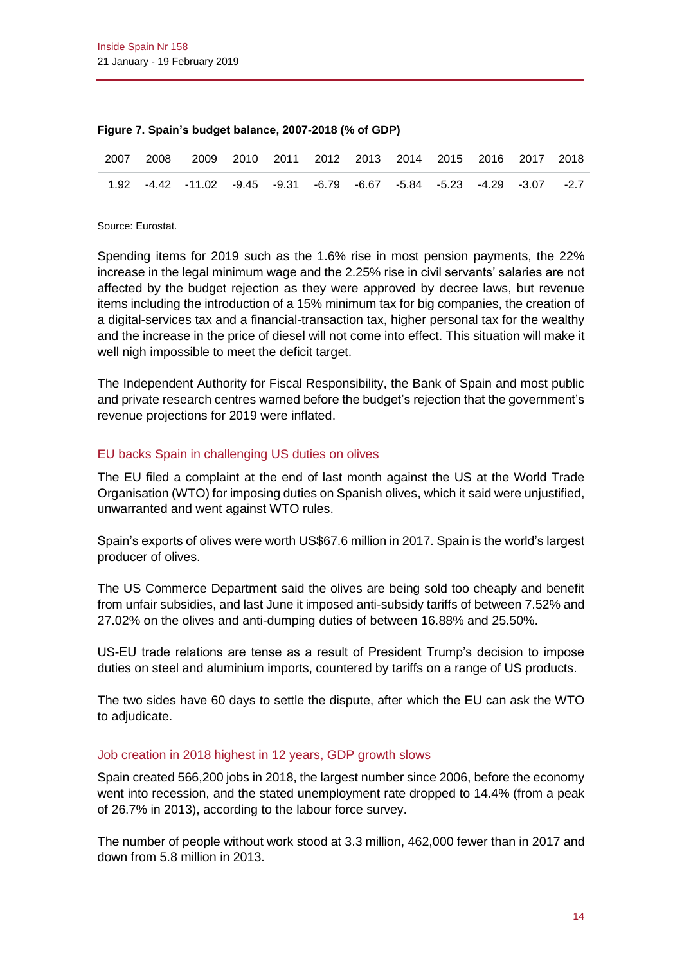|  | 2007 2008 2009 2010 2011 2012 2013 2014 2015 2016 2017 2018                                    |  |  |  |  |  |
|--|------------------------------------------------------------------------------------------------|--|--|--|--|--|
|  | $1.92$ $-4.42$ $-11.02$ $-9.45$ $-9.31$ $-6.79$ $-6.67$ $-5.84$ $-5.23$ $-4.29$ $-3.07$ $-2.7$ |  |  |  |  |  |

#### **Figure 7. Spain's budget balance, 2007-2018 (% of GDP)**

Source: Eurostat.

Spending items for 2019 such as the 1.6% rise in most pension payments, the 22% increase in the legal minimum wage and the 2.25% rise in civil servants' salaries are not affected by the budget rejection as they were approved by decree laws, but revenue items including the introduction of a 15% minimum tax for big companies, the creation of a digital-services tax and a financial-transaction tax, higher personal tax for the wealthy and the increase in the price of diesel will not come into effect. This situation will make it well nigh impossible to meet the deficit target.

The Independent Authority for Fiscal Responsibility, the Bank of Spain and most public and private research centres warned before the budget's rejection that the government's revenue projections for 2019 were inflated.

# EU backs Spain in challenging US duties on olives

The EU filed a complaint at the end of last month against the US at the World Trade Organisation (WTO) for imposing duties on Spanish olives, which it said were unjustified, unwarranted and went against WTO rules.

Spain's exports of olives were worth US\$67.6 million in 2017. Spain is the world's largest producer of olives.

The US Commerce Department said the olives are being sold too cheaply and benefit from unfair subsidies, and last June it imposed anti-subsidy tariffs of between 7.52% and 27.02% on the olives and anti-dumping duties of between 16.88% and 25.50%.

US-EU trade relations are tense as a result of President Trump's decision to impose duties on steel and aluminium imports, countered by tariffs on a range of US products.

The two sides have 60 days to settle the dispute, after which the EU can ask the WTO to adjudicate.

#### Job creation in 2018 highest in 12 years, GDP growth slows

Spain created 566,200 jobs in 2018, the largest number since 2006, before the economy went into recession, and the stated unemployment rate dropped to 14.4% (from a peak of 26.7% in 2013), according to the labour force survey.

The number of people without work stood at 3.3 million, 462,000 fewer than in 2017 and down from 5.8 million in 2013.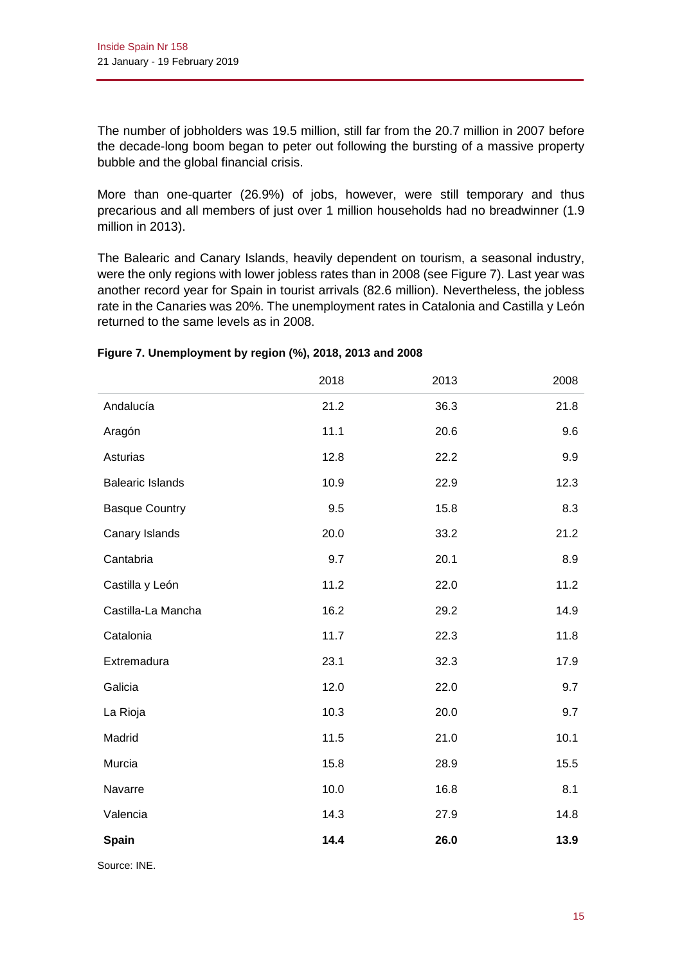The number of jobholders was 19.5 million, still far from the 20.7 million in 2007 before the decade-long boom began to peter out following the bursting of a massive property bubble and the global financial crisis.

More than one-quarter (26.9%) of jobs, however, were still temporary and thus precarious and all members of just over 1 million households had no breadwinner (1.9 million in 2013).

The Balearic and Canary Islands, heavily dependent on tourism, a seasonal industry, were the only regions with lower jobless rates than in 2008 (see Figure 7). Last year was another record year for Spain in tourist arrivals (82.6 million). Nevertheless, the jobless rate in the Canaries was 20%. The unemployment rates in Catalonia and Castilla y León returned to the same levels as in 2008.

|                         | 2018 | 2013 | 2008 |
|-------------------------|------|------|------|
| Andalucía               | 21.2 | 36.3 | 21.8 |
| Aragón                  | 11.1 | 20.6 | 9.6  |
| Asturias                | 12.8 | 22.2 | 9.9  |
| <b>Balearic Islands</b> | 10.9 | 22.9 | 12.3 |
| <b>Basque Country</b>   | 9.5  | 15.8 | 8.3  |
| Canary Islands          | 20.0 | 33.2 | 21.2 |
| Cantabria               | 9.7  | 20.1 | 8.9  |
| Castilla y León         | 11.2 | 22.0 | 11.2 |
| Castilla-La Mancha      | 16.2 | 29.2 | 14.9 |
| Catalonia               | 11.7 | 22.3 | 11.8 |
| Extremadura             | 23.1 | 32.3 | 17.9 |
| Galicia                 | 12.0 | 22.0 | 9.7  |
| La Rioja                | 10.3 | 20.0 | 9.7  |
| Madrid                  | 11.5 | 21.0 | 10.1 |
| Murcia                  | 15.8 | 28.9 | 15.5 |
| Navarre                 | 10.0 | 16.8 | 8.1  |
| Valencia                | 14.3 | 27.9 | 14.8 |
| Spain                   | 14.4 | 26.0 | 13.9 |

# **Figure 7. Unemployment by region (%), 2018, 2013 and 2008**

Source: INE.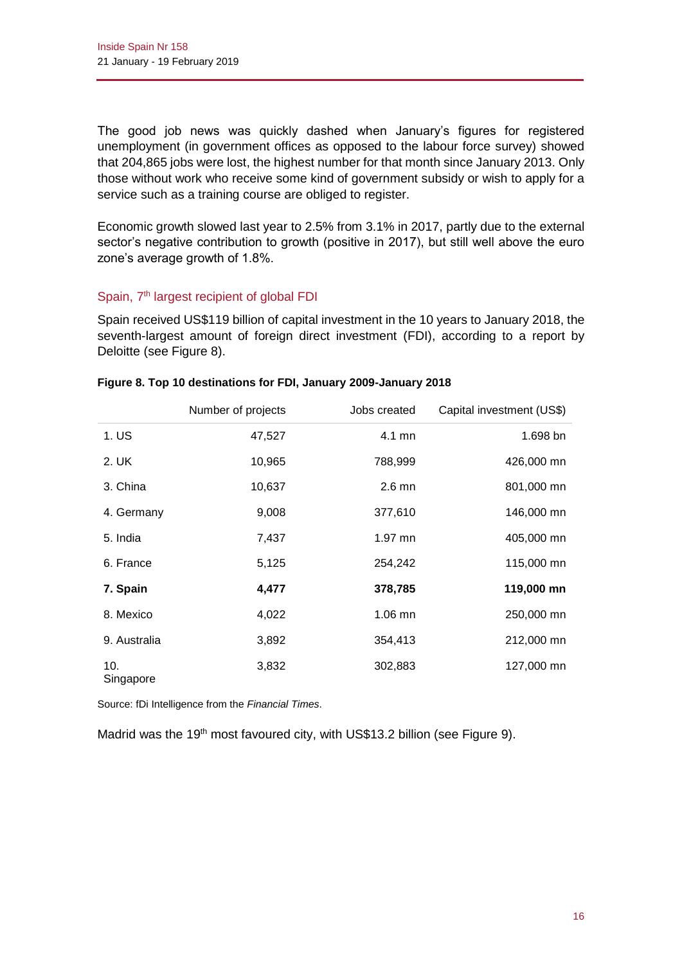The good job news was quickly dashed when January's figures for registered unemployment (in government offices as opposed to the labour force survey) showed that 204,865 jobs were lost, the highest number for that month since January 2013. Only those without work who receive some kind of government subsidy or wish to apply for a service such as a training course are obliged to register.

Economic growth slowed last year to 2.5% from 3.1% in 2017, partly due to the external sector's negative contribution to growth (positive in 2017), but still well above the euro zone's average growth of 1.8%.

# Spain, 7<sup>th</sup> largest recipient of global FDI

Spain received US\$119 billion of capital investment in the 10 years to January 2018, the seventh-largest amount of foreign direct investment (FDI), according to a report by Deloitte (see Figure 8).

|                  | Number of projects | Jobs created | Capital investment (US\$) |
|------------------|--------------------|--------------|---------------------------|
| 1. US            | 47,527             | 4.1 mn       | 1.698 bn                  |
| 2. UK            | 10,965             | 788,999      | 426,000 mn                |
| 3. China         | 10,637             | $2.6$ mn     | 801,000 mn                |
| 4. Germany       | 9,008              | 377,610      | 146,000 mn                |
| 5. India         | 7,437              | $1.97$ mn    | 405,000 mn                |
| 6. France        | 5,125              | 254,242      | 115,000 mn                |
| 7. Spain         | 4,477              | 378,785      | 119,000 mn                |
| 8. Mexico        | 4,022              | $1.06$ mn    | 250,000 mn                |
| 9. Australia     | 3,892              | 354,413      | 212,000 mn                |
| 10.<br>Singapore | 3,832              | 302,883      | 127,000 mn                |

## **Figure 8. Top 10 destinations for FDI, January 2009-January 2018**

Source: fDi Intelligence from the *Financial Times*.

Madrid was the 19<sup>th</sup> most favoured city, with US\$13.2 billion (see Figure 9).